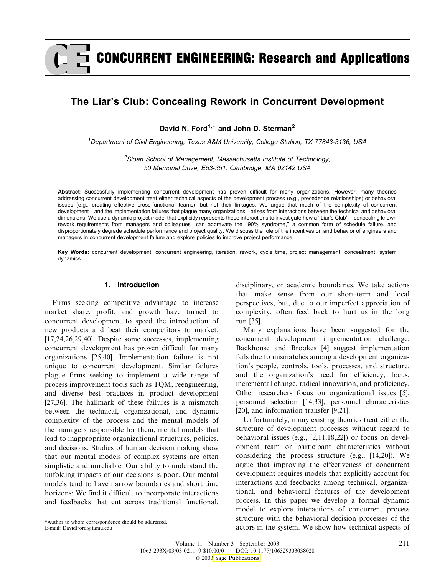# CONCURRENT ENGINEERING: Research and Applications

# The Liar's Club: Concealing Rework in Concurrent Development

David N. Ford<sup>1,\*</sup> and John D. Sterman<sup>2</sup>

<sup>1</sup>Department of Civil Engineering, Texas A&M University, College Station, TX 77843-3136, USA

 ${}^{2}$ Sloan School of Management, Massachusetts Institute of Technology, 50 Memorial Drive, E53-351, Cambridge, MA 02142 USA

Abstract: Successfully implementing concurrent development has proven difficult for many organizations. However, many theories addressing concurrent development treat either technical aspects of the development process (e.g., precedence relationships) or behavioral issues (e.g., creating effective cross-functional teams), but not their linkages. We argue that much of the complexity of concurrent development—and the implementation failures that plague many organizations—arises from interactions between the technical and behavioral dimensions. We use a dynamic project model that explicitly represents these interactions to investigate how a ''Liar's Club''—concealing known rework requirements from managers and colleagues—can aggravate the ''90% syndrome,'' a common form of schedule failure, and disproportionately degrade schedule performance and project quality. We discuss the role of the incentives on and behavior of engineers and managers in concurrent development failure and explore policies to improve project performance.

Key Words: concurrent development, concurrent engineering, iteration, rework, cycle time, project management, concealment, system dynamics.

#### 1. Introduction

Firms seeking competitive advantage to increase market share, profit, and growth have turned to concurrent development to speed the introduction of new products and beat their competitors to market. [17,24,26,29,40]. Despite some successes, implementing concurrent development has proven difficult for many organizations [25,40]. Implementation failure is not unique to concurrent development. Similar failures plague firms seeking to implement a wide range of process improvement tools such as TQM, reengineering, and diverse best practices in product development [27,36]. The hallmark of these failures is a mismatch between the technical, organizational, and dynamic complexity of the process and the mental models of the managers responsible for them, mental models that lead to inappropriate organizational structures, policies, and decisions. Studies of human decision making show that our mental models of complex systems are often simplistic and unreliable. Our ability to understand the unfolding impacts of our decisions is poor. Our mental models tend to have narrow boundaries and short time horizons: We find it difficult to incorporate interactions and feedbacks that cut across traditional functional,

disciplinary, or academic boundaries. We take actions that make sense from our short-term and local perspectives, but, due to our imperfect appreciation of complexity, often feed back to hurt us in the long run [35].

Many explanations have been suggested for the concurrent development implementation challenge. Backhouse and Brookes [4] suggest implementation fails due to mismatches among a development organization's people, controls, tools, processes, and structure, and the organization's need for efficiency, focus, incremental change, radical innovation, and proficiency. Other researchers focus on organizational issues [5], personnel selection [14,33], personnel characteristics [20], and information transfer [9,21].

Unfortunately, many existing theories treat either the structure of development processes without regard to behavioral issues (e.g., [2,11,18,22]) or focus on development team or participant characteristics without considering the process structure (e.g., [14,20]). We argue that improving the effectiveness of concurrent development requires models that explicitly account for interactions and feedbacks among technical, organizational, and behavioral features of the development process. In this paper we develop a formal dynamic model to explore interactions of concurrent process [structure](http:\\www.sagepublications.com) with the behavioral decision processes of the Author to whom correspondence should be addressed.<br>Author to whom correspondence should be addressed.<br>actors in the system. We show how technical aspects of

E-mail: DavidFord@tamu.edu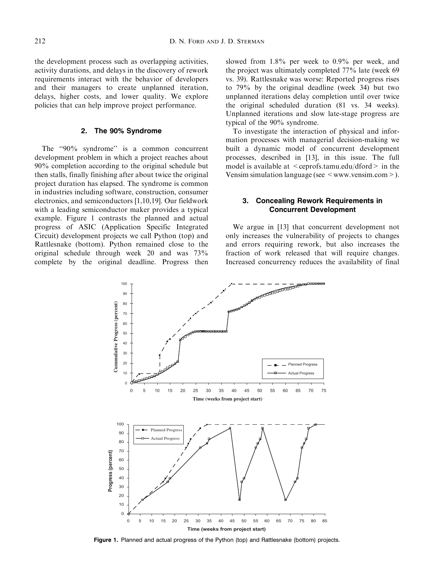the development process such as overlapping activities, activity durations, and delays in the discovery of rework requirements interact with the behavior of developers and their managers to create unplanned iteration, delays, higher costs, and lower quality. We explore policies that can help improve project performance.

### 2. The 90% Syndrome

The "90% syndrome" is a common concurrent development problem in which a project reaches about 90% completion according to the original schedule but then stalls, finally finishing after about twice the original project duration has elapsed. The syndrome is common in industries including software, construction, consumer electronics, and semiconductors [1,10,19]. Our fieldwork with a leading semiconductor maker provides a typical example. Figure 1 contrasts the planned and actual progress of ASIC (Application Specific Integrated Circuit) development projects we call Python (top) and Rattlesnake (bottom). Python remained close to the original schedule through week 20 and was 73% complete by the original deadline. Progress then

slowed from 1.8% per week to 0.9% per week, and the project was ultimately completed 77% late (week 69 vs. 39). Rattlesnake was worse: Reported progress rises to 79% by the original deadline (week 34) but two unplanned iterations delay completion until over twice the original scheduled duration (81 vs. 34 weeks). Unplanned iterations and slow late-stage progress are typical of the 90% syndrome.

To investigate the interaction of physical and information processes with managerial decision-making we built a dynamic model of concurrent development processes, described in [13], in this issue. The full model is available at  $\leq$  ceprofs.tamu.edu/dford  $>$  in the Vensim simulation language (see  $\leq$  www.vensim.com  $\geq$ ).

## 3. Concealing Rework Requirements in Concurrent Development

We argue in [13] that concurrent development not only increases the vulnerability of projects to changes and errors requiring rework, but also increases the fraction of work released that will require changes. Increased concurrency reduces the availability of final



Figure 1. Planned and actual progress of the Python (top) and Rattlesnake (bottom) projects.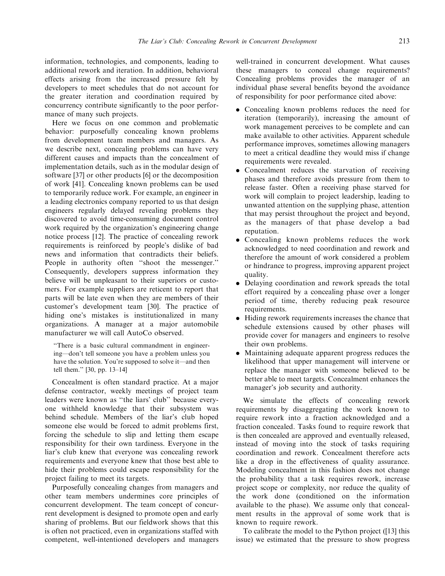information, technologies, and components, leading to additional rework and iteration. In addition, behavioral effects arising from the increased pressure felt by developers to meet schedules that do not account for the greater iteration and coordination required by concurrency contribute significantly to the poor performance of many such projects.

Here we focus on one common and problematic behavior: purposefully concealing known problems from development team members and managers. As we describe next, concealing problems can have very different causes and impacts than the concealment of implementation details, such as in the modular design of software [37] or other products [6] or the decomposition of work [41]. Concealing known problems can be used to temporarily reduce work. For example, an engineer in a leading electronics company reported to us that design engineers regularly delayed revealing problems they discovered to avoid time-consuming document control work required by the organization's engineering change notice process [12]. The practice of concealing rework requirements is reinforced by people's dislike of bad news and information that contradicts their beliefs. People in authority often ''shoot the messenger.'' Consequently, developers suppress information they believe will be unpleasant to their superiors or customers. For example suppliers are reticent to report that parts will be late even when they are members of their customer's development team [30]. The practice of hiding one's mistakes is institutionalized in many organizations. A manager at a major automobile manufacturer we will call AutoCo observed.

''There is a basic cultural commandment in engineering—don't tell someone you have a problem unless you have the solution. You're supposed to solve it—and then tell them.'' [30, pp. 13–14]

Concealment is often standard practice. At a major defense contractor, weekly meetings of project team leaders were known as ''the liars' club'' because everyone withheld knowledge that their subsystem was behind schedule. Members of the liar's club hoped someone else would be forced to admit problems first, forcing the schedule to slip and letting them escape responsibility for their own tardiness. Everyone in the liar's club knew that everyone was concealing rework requirements and everyone knew that those best able to hide their problems could escape responsibility for the project failing to meet its targets.

Purposefully concealing changes from managers and other team members undermines core principles of concurrent development. The team concept of concurrent development is designed to promote open and early sharing of problems. But our fieldwork shows that this is often not practiced, even in organizations staffed with competent, well-intentioned developers and managers well-trained in concurrent development. What causes these managers to conceal change requirements? Concealing problems provides the manager of an individual phase several benefits beyond the avoidance of responsibility for poor performance cited above:

- . Concealing known problems reduces the need for iteration (temporarily), increasing the amount of work management perceives to be complete and can make available to other activities. Apparent schedule performance improves, sometimes allowing managers to meet a critical deadline they would miss if change requirements were revealed.
- Concealment reduces the starvation of receiving phases and therefore avoids pressure from them to release faster. Often a receiving phase starved for work will complain to project leadership, leading to unwanted attention on the supplying phase, attention that may persist throughout the project and beyond, as the managers of that phase develop a bad reputation.
- . Concealing known problems reduces the work acknowledged to need coordination and rework and therefore the amount of work considered a problem or hindrance to progress, improving apparent project quality.
- . Delaying coordination and rework spreads the total effort required by a concealing phase over a longer period of time, thereby reducing peak resource requirements.
- . Hiding rework requirements increases the chance that schedule extensions caused by other phases will provide cover for managers and engineers to resolve their own problems.
- . Maintaining adequate apparent progress reduces the likelihood that upper management will intervene or replace the manager with someone believed to be better able to meet targets. Concealment enhances the manager's job security and authority.

We simulate the effects of concealing rework requirements by disaggregating the work known to require rework into a fraction acknowledged and a fraction concealed. Tasks found to require rework that is then concealed are approved and eventually released, instead of moving into the stock of tasks requiring coordination and rework. Concealment therefore acts like a drop in the effectiveness of quality assurance. Modeling concealment in this fashion does not change the probability that a task requires rework, increase project scope or complexity, nor reduce the quality of the work done (conditioned on the information available to the phase). We assume only that concealment results in the approval of some work that is known to require rework.

To calibrate the model to the Python project ([13] this issue) we estimated that the pressure to show progress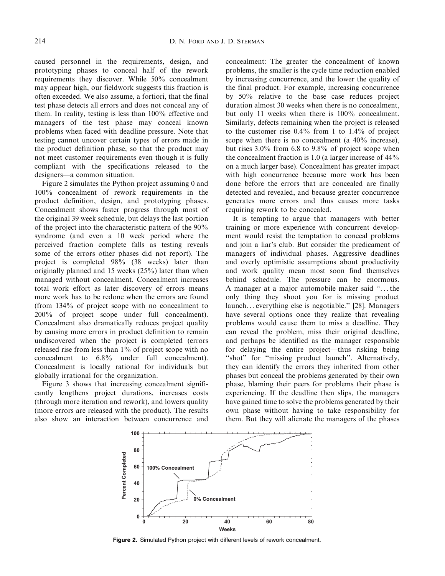caused personnel in the requirements, design, and prototyping phases to conceal half of the rework requirements they discover. While 50% concealment may appear high, our fieldwork suggests this fraction is often exceeded. We also assume, a fortiori, that the final test phase detects all errors and does not conceal any of them. In reality, testing is less than 100% effective and managers of the test phase may conceal known problems when faced with deadline pressure. Note that testing cannot uncover certain types of errors made in the product definition phase, so that the product may not meet customer requirements even though it is fully compliant with the specifications released to the designers—a common situation.

Figure 2 simulates the Python project assuming 0 and 100% concealment of rework requirements in the product definition, design, and prototyping phases. Concealment shows faster progress through most of the original 39 week schedule, but delays the last portion of the project into the characteristic pattern of the 90% syndrome (and even a 10 week period where the perceived fraction complete falls as testing reveals some of the errors other phases did not report). The project is completed 98% (38 weeks) later than originally planned and 15 weeks (25%) later than when managed without concealment. Concealment increases total work effort as later discovery of errors means more work has to be redone when the errors are found (from 134% of project scope with no concealment to 200% of project scope under full concealment). Concealment also dramatically reduces project quality by causing more errors in product definition to remain undiscovered when the project is completed (errors released rise from less than 1% of project scope with no concealment to 6.8% under full concealment). Concealment is locally rational for individuals but globally irrational for the organization.

Figure 3 shows that increasing concealment significantly lengthens project durations, increases costs (through more iteration and rework), and lowers quality (more errors are released with the product). The results also show an interaction between concurrence and

concealment: The greater the concealment of known problems, the smaller is the cycle time reduction enabled by increasing concurrence, and the lower the quality of the final product. For example, increasing concurrence by 50% relative to the base case reduces project duration almost 30 weeks when there is no concealment, but only 11 weeks when there is 100% concealment. Similarly, defects remaining when the project is released to the customer rise 0.4% from 1 to 1.4% of project scope when there is no concealment (a 40% increase), but rises 3.0% from 6.8 to 9.8% of project scope when the concealment fraction is 1.0 (a larger increase of 44% on a much larger base). Concealment has greater impact with high concurrence because more work has been done before the errors that are concealed are finally detected and revealed, and because greater concurrence generates more errors and thus causes more tasks requiring rework to be concealed.

It is tempting to argue that managers with better training or more experience with concurrent development would resist the temptation to conceal problems and join a liar's club. But consider the predicament of managers of individual phases. Aggressive deadlines and overly optimistic assumptions about productivity and work quality mean most soon find themselves behind schedule. The pressure can be enormous. A manager at a major automobile maker said ''... the only thing they shoot you for is missing product launch... everything else is negotiable.'' [28]. Managers have several options once they realize that revealing problems would cause them to miss a deadline. They can reveal the problem, miss their original deadline, and perhaps be identified as the manager responsible for delaying the entire project—thus risking being "shot" for "missing product launch". Alternatively, they can identify the errors they inherited from other phases but conceal the problems generated by their own phase, blaming their peers for problems their phase is experiencing. If the deadline then slips, the managers have gained time to solve the problems generated by their own phase without having to take responsibility for them. But they will alienate the managers of the phases



Figure 2. Simulated Python project with different levels of rework concealment.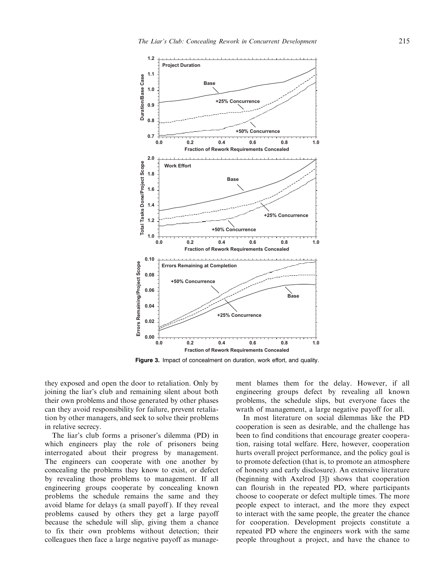

Figure 3. Impact of concealment on duration, work effort, and quality.

they exposed and open the door to retaliation. Only by joining the liar's club and remaining silent about both their own problems and those generated by other phases can they avoid responsibility for failure, prevent retaliation by other managers, and seek to solve their problems in relative secrecy.

The liar's club forms a prisoner's dilemma (PD) in which engineers play the role of prisoners being interrogated about their progress by management. The engineers can cooperate with one another by concealing the problems they know to exist, or defect by revealing those problems to management. If all engineering groups cooperate by concealing known problems the schedule remains the same and they avoid blame for delays (a small payoff ). If they reveal problems caused by others they get a large payoff because the schedule will slip, giving them a chance to fix their own problems without detection; their colleagues then face a large negative payoff as management blames them for the delay. However, if all engineering groups defect by revealing all known problems, the schedule slips, but everyone faces the wrath of management, a large negative payoff for all.

In most literature on social dilemmas like the PD cooperation is seen as desirable, and the challenge has been to find conditions that encourage greater cooperation, raising total welfare. Here, however, cooperation hurts overall project performance, and the policy goal is to promote defection (that is, to promote an atmosphere of honesty and early disclosure). An extensive literature (beginning with Axelrod [3]) shows that cooperation can flourish in the repeated PD, where participants choose to cooperate or defect multiple times. The more people expect to interact, and the more they expect to interact with the same people, the greater the chance for cooperation. Development projects constitute a repeated PD where the engineers work with the same people throughout a project, and have the chance to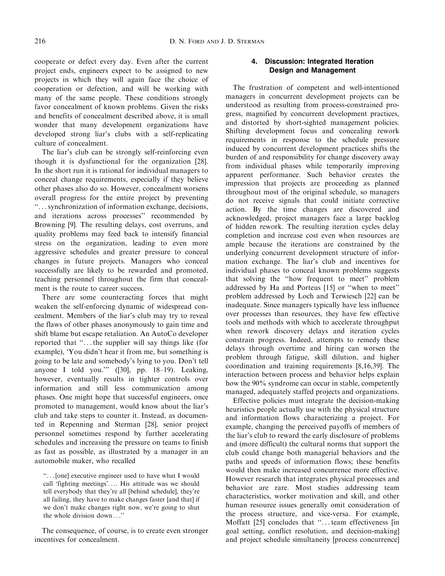cooperate or defect every day. Even after the current project ends, engineers expect to be assigned to new projects in which they will again face the choice of cooperation or defection, and will be working with many of the same people. These conditions strongly favor concealment of known problems. Given the risks and benefits of concealment described above, it is small wonder that many development organizations have developed strong liar's clubs with a self-replicating culture of concealment.

The liar's club can be strongly self-reinforcing even though it is dysfunctional for the organization [28]. In the short run it is rational for individual managers to conceal change requirements, especially if they believe other phases also do so. However, concealment worsens overall progress for the entire project by preventing ''...synchronization of information exchange, decisions, and iterations across processes'' recommended by Browning [9]. The resulting delays, cost overruns, and quality problems may feed back to intensify financial stress on the organization, leading to even more aggressive schedules and greater pressure to conceal changes in future projects. Managers who conceal successfully are likely to be rewarded and promoted, teaching personnel throughout the firm that concealment is the route to career success.

There are some counteracting forces that might weaken the self-enforcing dynamic of widespread concealment. Members of the liar's club may try to reveal the flaws of other phases anonymously to gain time and shift blame but escape retaliation. An AutoCo developer reported that ''... the supplier will say things like (for example), 'You didn't hear it from me, but something is going to be late and somebody's lying to you. Don't tell anyone I told you.''' ([30], pp. 18–19). Leaking, however, eventually results in tighter controls over information and still less communication among phases. One might hope that successful engineers, once promoted to management, would know about the liar's club and take steps to counter it. Instead, as documented in Repenning and Sterman [28], senior project personnel sometimes respond by further accelerating schedules and increasing the pressure on teams to finish as fast as possible, as illustrated by a manager in an automobile maker, who recalled

''... [one] executive engineer used to have what I would call 'fighting meetings'.... His attitude was we should tell everybody that they're all [behind schedule], they're all failing, they have to make changes faster [and that] if we don't make changes right now, we're going to shut the whole division down ...''

The consequence, of course, is to create even stronger incentives for concealment.

# 4. Discussion: Integrated Iteration Design and Management

The frustration of competent and well-intentioned managers in concurrent development projects can be understood as resulting from process-constrained progress, magnified by concurrent development practices, and distorted by short-sighted management policies. Shifting development focus and concealing rework requirements in response to the schedule pressure induced by concurrent development practices shifts the burden of and responsibility for change discovery away from individual phases while temporarily improving apparent performance. Such behavior creates the impression that projects are proceeding as planned throughout most of the original schedule, so managers do not receive signals that could initiate corrective action. By the time changes are discovered and acknowledged, project managers face a large backlog of hidden rework. The resulting iteration cycles delay completion and increase cost even when resources are ample because the iterations are constrained by the underlying concurrent development structure of information exchange. The liar's club and incentives for individual phases to conceal known problems suggests that solving the ''how frequent to meet'' problem addressed by Ha and Porteus [15] or ''when to meet'' problem addressed by Loch and Terwiesch [22] can be inadequate. Since managers typically have less influence over processes than resources, they have few effective tools and methods with which to accelerate throughput when rework discovery delays and iteration cycles constrain progress. Indeed, attempts to remedy these delays through overtime and hiring can worsen the problem through fatigue, skill dilution, and higher coordination and training requirements [8,16,39]. The interaction between process and behavior helps explain how the 90% syndrome can occur in stable, competently managed, adequately staffed projects and organizations.

Effective policies must integrate the decision-making heuristics people actually use with the physical structure and information flows characterizing a project. For example, changing the perceived payoffs of members of the liar's club to reward the early disclosure of problems and (more difficult) the cultural norms that support the club could change both managerial behaviors and the paths and speeds of information flows; these benefits would then make increased concurrence more effective. However research that integrates physical processes and behavior are rare. Most studies addressing team characteristics, worker motivation and skill, and other human resource issues generally omit consideration of the process structure, and vice-versa. For example, Moffatt [25] concludes that ''... team effectiveness [in goal setting, conflict resolution, and decision-making] and project schedule simultaneity [process concurrence]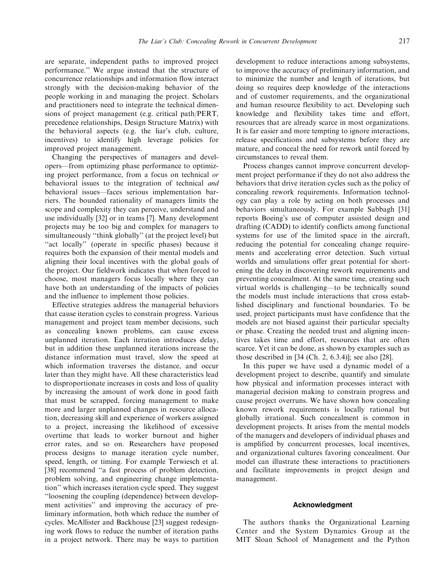are separate, independent paths to improved project performance.'' We argue instead that the structure of concurrence relationships and information flow interact strongly with the decision-making behavior of the people working in and managing the project. Scholars and practitioners need to integrate the technical dimensions of project management (e.g. critical path/PERT, precedence relationships, Design Structure Matrix) with the behavioral aspects (e.g. the liar's club, culture, incentives) to identify high leverage policies for improved project management.

Changing the perspectives of managers and developers—from optimizing phase performance to optimizing project performance, from a focus on technical or behavioral issues to the integration of technical and behavioral issues—faces serious implementation barriers. The bounded rationality of managers limits the scope and complexity they can perceive, understand and use individually [32] or in teams [7]. Many development projects may be too big and complex for managers to simultaneously "think globally" (at the project level) but "act locally" (operate in specific phases) because it requires both the expansion of their mental models and aligning their local incentives with the global goals of the project. Our fieldwork indicates that when forced to choose, most managers focus locally where they can have both an understanding of the impacts of policies and the influence to implement those policies.

Effective strategies address the managerial behaviors that cause iteration cycles to constrain progress. Various management and project team member decisions, such as concealing known problems, can cause excess unplanned iteration. Each iteration introduces delay, but in addition these unplanned iterations increase the distance information must travel, slow the speed at which information traverses the distance, and occur later than they might have. All these characteristics lead to disproportionate increases in costs and loss of quality by increasing the amount of work done in good faith that must be scrapped, forcing management to make more and larger unplanned changes in resource allocation, decreasing skill and experience of workers assigned to a project, increasing the likelihood of excessive overtime that leads to worker burnout and higher error rates, and so on. Researchers have proposed process designs to manage iteration cycle number, speed, length, or timing. For example Terwiesch et al. [38] recommend "a fast process of problem detection, problem solving, and engineering change implementation'' which increases iteration cycle speed. They suggest ''loosening the coupling (dependence) between development activities'' and improving the accuracy of preliminary information, both which reduce the number of cycles. McAllister and Backhouse [23] suggest redesigning work flows to reduce the number of iteration paths in a project network. There may be ways to partition development to reduce interactions among subsystems, to improve the accuracy of preliminary information, and to minimize the number and length of iterations, but doing so requires deep knowledge of the interactions and of customer requirements, and the organizational and human resource flexibility to act. Developing such knowledge and flexibility takes time and effort, resources that are already scarce in most organizations. It is far easier and more tempting to ignore interactions, release specifications and subsystems before they are mature, and conceal the need for rework until forced by circumstances to reveal them.

Process changes cannot improve concurrent development project performance if they do not also address the behaviors that drive iteration cycles such as the policy of concealing rework requirements. Information technology can play a role by acting on both processes and behaviors simultaneously. For example Sabbagh [31] reports Boeing's use of computer assisted design and drafting (CADD) to identify conflicts among functional systems for use of the limited space in the aircraft, reducing the potential for concealing change requirements and accelerating error detection. Such virtual worlds and simulations offer great potential for shortening the delay in discovering rework requirements and preventing concealment. At the same time, creating such virtual worlds is challenging—to be technically sound the models must include interactions that cross established disciplinary and functional boundaries. To be used, project participants must have confidence that the models are not biased against their particular specialty or phase. Creating the needed trust and aligning incentives takes time and effort, resources that are often scarce. Yet it can be done, as shown by examples such as those described in [34 (Ch. 2, 6.3.4)]; see also [28].

In this paper we have used a dynamic model of a development project to describe, quantify and simulate how physical and information processes interact with managerial decision making to constrain progress and cause project overruns. We have shown how concealing known rework requirements is locally rational but globally irrational. Such concealment is common in development projects. It arises from the mental models of the managers and developers of individual phases and is amplified by concurrent processes, local incentives, and organizational cultures favoring concealment. Our model can illustrate these interactions to practitioners and facilitate improvements in project design and management.

#### Acknowledgment

The authors thanks the Organizational Learning Center and the System Dynamics Group at the MIT Sloan School of Management and the Python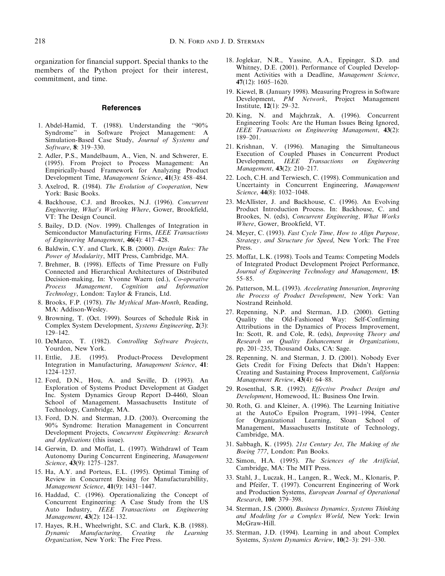organization for financial support. Special thanks to the members of the Python project for their interest, commitment, and time.

#### **References**

- 1. Abdel-Hamid, T. (1988). Understanding the ''90% Syndrome'' in Software Project Management: A Simulation-Based Case Study, Journal of Systems and Software, 8: 319–330.
- 2. Adler, P.S., Mandelbaum, A., Vien, N. and Schwerer, E. (1995). From Project to Process Management: An Empirically-based Framework for Analyzing Product Development Time, Management Science, 41(3): 458–484.
- 3. Axelrod, R. (1984). The Evolution of Cooperation, New York: Basic Books.
- 4. Backhouse, C.J. and Brookes, N.J. (1996). Concurrent Engineering, What's Working Where, Gower, Brookfield, VT: The Design Council.
- 5. Bailey, D.D. (Nov. 1999). Challenges of Integration in Semiconductor Manufacturing Firms, IEEE Transactions of Engineering Management, 46(4): 417–428.
- 6. Baldwin, C.Y. and Clark, K.B. (2000). Design Rules: The Power of Modularity, MIT Press, Cambridge, MA.
- 7. Brehmer, B. (1998). Effects of Time Pressure on Fully Connected and Hierarchical Architectures of Distributed Decision-making, In: Yvonne Waern (ed.), Co-operative Process Management, Cognition and Information Technology, London: Taylor & Francis, Ltd.
- 8. Brooks, F.P. (1978). The Mythical Man-Month, Reading, MA: Addison-Wesley.
- 9. Browning, T. (Oct. 1999). Sources of Schedule Risk in Complex System Development, Systems Engineering, 2(3): 129–142.
- 10. DeMarco, T. (1982). Controlling Software Projects, Yourdon, New York.
- 11. Ettlie, J.E. (1995). Product-Process Development Integration in Manufacturing, Management Science, 41: 1224–1237.
- 12. Ford, D.N., Hou, A. and Seville, D. (1993). An Exploration of Systems Product Development at Gadget Inc. System Dynamics Group Report D-4460, Sloan School of Management. Massachusetts Institute of Technology, Cambridge, MA.
- 13. Ford, D.N. and Sterman, J.D. (2003). Overcoming the 90% Syndrome: Iteration Management in Concurrent Development Projects, Concurrent Engineering: Research and Applications (this issue).
- 14. Gerwin, D. and Moffat, L. (1997). Withdrawl of Team Autonomy During Concurrent Engineering, Management Science, 43(9): 1275-1287.
- 15. Ha, A.Y. and Porteus, E.L. (1995). Optimal Timing of Review in Concurrent Desing for Manufacturabillity, Management Science, 41(9): 1431–1447.
- 16. Haddad, C. (1996). Operationalizing the Concept of Concurrent Engineering: A Case Study from the US Auto Industry, IEEE Transactions on Engineering Management, 43(2): 124–132.
- 17. Hayes, R.H., Wheelwright, S.C. and Clark, K.B. (1988). Dynamic Manufacturing, Creating the Learning Organization, New York: The Free Press.
- 18. Joglekar, N.R., Yassine, A.A., Eppinger, S.D. and Whitney, D.E. (2001). Performance of Coupled Development Activities with a Deadline, Management Science, 47(12): 1605–1620.
- 19. Kiewel, B. (January 1998). Measuring Progress in Software Development, PM Network, Project Management Institute, 12(1): 29–32.
- 20. King, N. and Majchrzak, A. (1996). Concurrent Engineering Tools: Are the Human Issues Being Ignored, IEEE Transactions on Engineering Management, 43(2): 189–201.
- 21. Krishnan, V. (1996). Managing the Simultaneous Execution of Coupled Phases in Concurrent Product Development, *IEEE Transactions on Engineering* Management, 43(2): 210–217.
- 22. Loch, C.H. and Terwiesch, C. (1998). Communication and Uncertainty in Concurrent Engineering, Management Science, 44(8): 1032–1048.
- 23. McAllister, J. and Backhouse, C. (1996). An Evolving Product Introduction Process. In: Backhouse, C. and Brookes, N. (eds), Concurrent Engineering, What Works Where, Gower, Brookfield, VT.
- 24. Meyer, C. (1993). Fast Cycle Time, How to Align Purpose, Strategy, and Structure for Speed, New York: The Free Press.
- 25. Moffat, L.K. (1998). Tools and Teams: Competing Models of Integrated Product Development Project Performance, Journal of Engineering Technology and Management, 15: 55–85.
- 26. Patterson, M.L. (1993). Accelerating Innovation, Improving the Process of Product Development, New York: Van Nostrand Reinhold.
- 27. Repenning, N.P. and Sterman, J.D. (2000). Getting Quality the Old-Fashioned Way: Self-Confirming Attributions in the Dynamics of Process Improvement, In: Scott, R. and Cole, R. (eds), Improving Theory and Research on Quality Enhancement in Organizations, pp. 201–235, Thousand Oaks, CA: Sage.
- 28. Repenning, N. and Sterman, J. D. (2001). Nobody Ever Gets Credit for Fixing Defects that Didn't Happen: Creating and Sustaining Process Improvement, California Management Review, 43(4): 64-88.
- 29. Rosenthal, S.R. (1992). Effective Product Design and Development, Homewood, IL: Business One Irwin.
- 30. Roth, G. and Kleiner, A. (1996). The Learning Initiative at the AutoCo Epsilon Program, 1991–1994, Center for Organizational Learning, Sloan School of Management, Massachusetts Institute of Technology, Cambridge, MA.
- 31. Sabbagh, K. (1995). 21st Century Jet, The Making of the Boeing 777, London: Pan Books.
- 32. Simon, H.A. (1995). The Sciences of the Artificial, Cambridge, MA: The MIT Press.
- 33. Stahl, J., Luczak, H., Langen, R., Weck, M., Klonaris, P. and Pfeifer, T. (1997). Concurrent Engineering of Work and Production Systems, European Journal of Operational Research, 100: 379–398.
- 34. Sterman, J.S. (2000). Business Dynamics, Systems Thinking and Modeling for a Complex World, New York: Irwin McGraw-Hill.
- 35. Sterman, J.D. (1994). Learning in and about Complex Systems, System Dynamics Review, 10(2–3): 291–330.